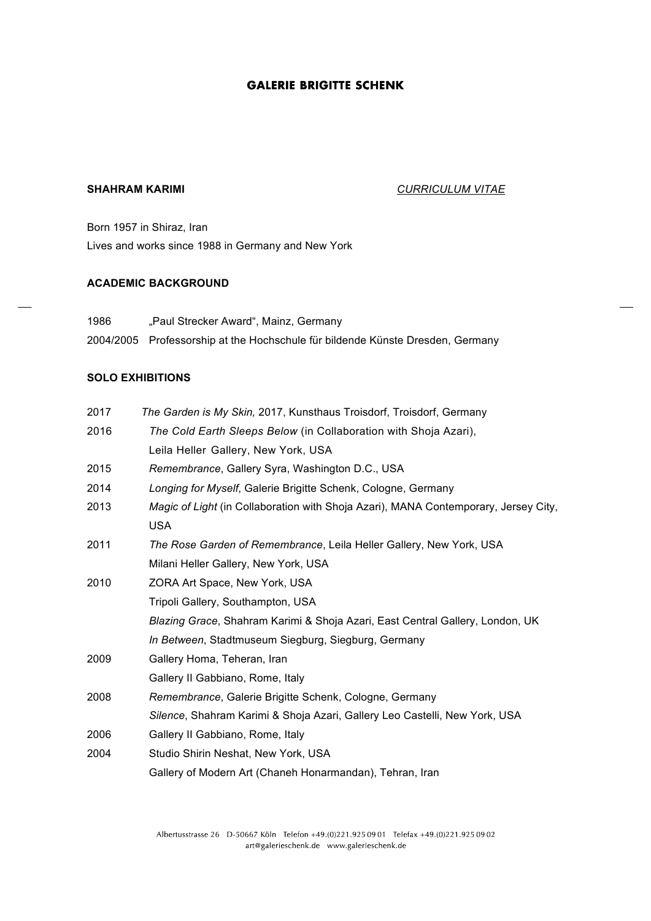# **GALERIE BRIGITTE SCHENK**

# **SHAHRAM KARIMI** *CURRICULUM VITAE*

Born 1957 in Shiraz, Iran Lives and works since 1988 in Germany and New York

#### **ACADEMIC BACKGROUND**

1986 "Paul Strecker Award", Mainz, Germany 2004/2005 Professorship at the Hochschule für bildende Künste Dresden, Germany

### **SOLO EXHIBITIONS**

| 2017 | The Garden is My Skin, 2017, Kunsthaus Troisdorf, Troisdorf, Germany                |
|------|-------------------------------------------------------------------------------------|
| 2016 | The Cold Earth Sleeps Below (in Collaboration with Shoja Azari),                    |
|      | Leila Heller Gallery, New York, USA                                                 |
| 2015 | Remembrance, Gallery Syra, Washington D.C., USA                                     |
| 2014 | Longing for Myself, Galerie Brigitte Schenk, Cologne, Germany                       |
| 2013 | Magic of Light (in Collaboration with Shoja Azari), MANA Contemporary, Jersey City, |
|      | <b>USA</b>                                                                          |
| 2011 | The Rose Garden of Remembrance, Leila Heller Gallery, New York, USA                 |
|      | Milani Heller Gallery, New York, USA                                                |
| 2010 | ZORA Art Space, New York, USA                                                       |
|      | Tripoli Gallery, Southampton, USA                                                   |
|      | Blazing Grace, Shahram Karimi & Shoja Azari, East Central Gallery, London, UK       |
|      | In Between, Stadtmuseum Siegburg, Siegburg, Germany                                 |
| 2009 | Gallery Homa, Teheran, Iran                                                         |
|      | Gallery II Gabbiano, Rome, Italy                                                    |
| 2008 | Remembrance, Galerie Brigitte Schenk, Cologne, Germany                              |
|      | Silence, Shahram Karimi & Shoja Azari, Gallery Leo Castelli, New York, USA          |
| 2006 | Gallery II Gabbiano, Rome, Italy                                                    |
| 2004 | Studio Shirin Neshat, New York, USA                                                 |
|      | Gallery of Modern Art (Chaneh Honarmandan), Tehran, Iran                            |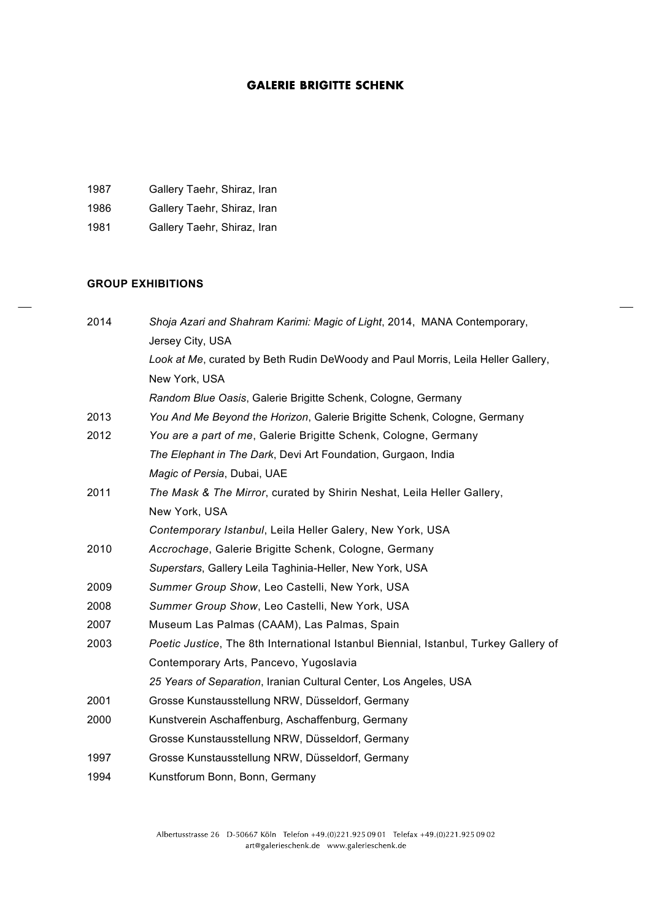# **GALERIE BRIGITTE SCHENK**

| Gallery Taehr, Shiraz, Iran |
|-----------------------------|
|                             |

1986 Gallery Taehr, Shiraz, Iran

1981 Gallery Taehr, Shiraz, Iran

### **GROUP EXHIBITIONS**

| 2014 | Shoja Azari and Shahram Karimi: Magic of Light, 2014, MANA Contemporary,             |
|------|--------------------------------------------------------------------------------------|
|      | Jersey City, USA                                                                     |
|      | Look at Me, curated by Beth Rudin DeWoody and Paul Morris, Leila Heller Gallery,     |
|      | New York, USA                                                                        |
|      | Random Blue Oasis, Galerie Brigitte Schenk, Cologne, Germany                         |
| 2013 | You And Me Beyond the Horizon, Galerie Brigitte Schenk, Cologne, Germany             |
| 2012 | You are a part of me, Galerie Brigitte Schenk, Cologne, Germany                      |
|      | The Elephant in The Dark, Devi Art Foundation, Gurgaon, India                        |
|      | Magic of Persia, Dubai, UAE                                                          |
| 2011 | The Mask & The Mirror, curated by Shirin Neshat, Leila Heller Gallery,               |
|      | New York, USA                                                                        |
|      | Contemporary Istanbul, Leila Heller Galery, New York, USA                            |
| 2010 | Accrochage, Galerie Brigitte Schenk, Cologne, Germany                                |
|      | Superstars, Gallery Leila Taghinia-Heller, New York, USA                             |
| 2009 | Summer Group Show, Leo Castelli, New York, USA                                       |
| 2008 | Summer Group Show, Leo Castelli, New York, USA                                       |
| 2007 | Museum Las Palmas (CAAM), Las Palmas, Spain                                          |
| 2003 | Poetic Justice, The 8th International Istanbul Biennial, Istanbul, Turkey Gallery of |
|      | Contemporary Arts, Pancevo, Yugoslavia                                               |
|      | 25 Years of Separation, Iranian Cultural Center, Los Angeles, USA                    |
| 2001 | Grosse Kunstausstellung NRW, Düsseldorf, Germany                                     |
| 2000 | Kunstverein Aschaffenburg, Aschaffenburg, Germany                                    |
|      | Grosse Kunstausstellung NRW, Düsseldorf, Germany                                     |
| 1997 | Grosse Kunstausstellung NRW, Düsseldorf, Germany                                     |
| 1994 | Kunstforum Bonn, Bonn, Germany                                                       |
|      |                                                                                      |